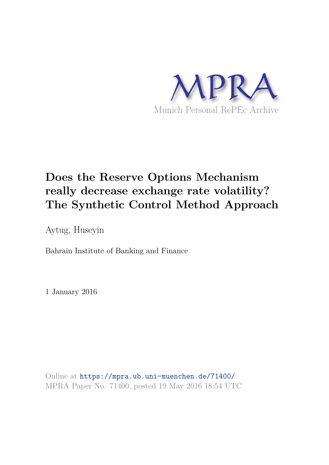

# **Does the Reserve Options Mechanism really decrease exchange rate volatility? The Synthetic Control Method Approach**

Aytug, Huseyin

Bahrain Institute of Banking and Finance

1 January 2016

Online at https://mpra.ub.uni-muenchen.de/71400/ MPRA Paper No. 71400, posted 19 May 2016 18:54 UTC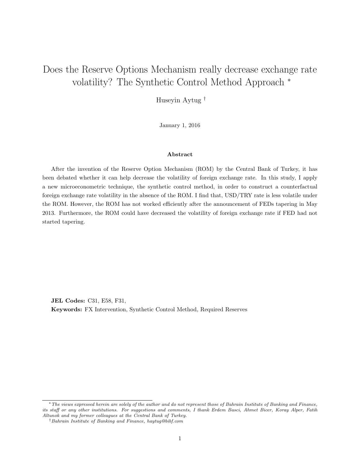## Does the Reserve Options Mechanism really decrease exchange rate volatility? The Synthetic Control Method Approach <sup>∗</sup>

Huseyin Aytug †

January 1, 2016

#### Abstract

After the invention of the Reserve Option Mechanism (ROM) by the Central Bank of Turkey, it has been debated whether it can help decrease the volatility of foreign exchange rate. In this study, I apply a new microeconometric technique, the synthetic control method, in order to construct a counterfactual foreign exchange rate volatility in the absence of the ROM. I find that, USD/TRY rate is less volatile under the ROM. However, the ROM has not worked efficiently after the announcement of FEDs tapering in May 2013. Furthermore, the ROM could have decreased the volatility of foreign exchange rate if FED had not started tapering.

JEL Codes: C31, E58, F31, Keywords: FX Intervention, Synthetic Control Method, Required Reserves

<sup>∗</sup>The views expressed herein are solely of the author and do not represent those of Bahrain Institute of Banking and Finance, its staff or any other institutions. For suggestions and comments, I thank Erdem Basci, Ahmet Bicer, Koray Alper, Fatih Altunok and my former colleagues at the Central Bank of Turkey.

<sup>†</sup>Bahrain Institute of Banking and Finance, haytug@bibf.com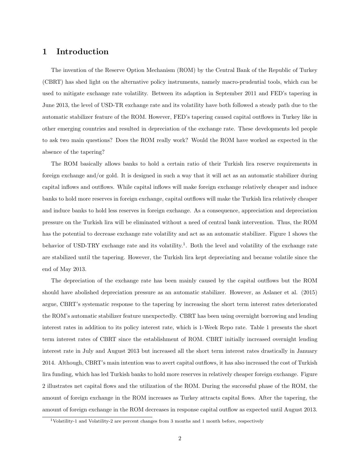### 1 Introduction

The invention of the Reserve Option Mechanism (ROM) by the Central Bank of the Republic of Turkey (CBRT) has shed light on the alternative policy instruments, namely macro-prudential tools, which can be used to mitigate exchange rate volatility. Between its adaption in September 2011 and FED's tapering in June 2013, the level of USD-TR exchange rate and its volatility have both followed a steady path due to the automatic stabilizer feature of the ROM. However, FED's tapering caused capital outflows in Turkey like in other emerging countries and resulted in depreciation of the exchange rate. These developments led people to ask two main questions? Does the ROM really work? Would the ROM have worked as expected in the absence of the tapering?

The ROM basically allows banks to hold a certain ratio of their Turkish lira reserve requirements in foreign exchange and/or gold. It is designed in such a way that it will act as an automatic stabilizer during capital inflows and outflows. While capital inflows will make foreign exchange relatively cheaper and induce banks to hold more reserves in foreign exchange, capital outflows will make the Turkish lira relatively cheaper and induce banks to hold less reserves in foreign exchange. As a consequence, appreciation and depreciation pressure on the Turkish lira will be eliminated without a need of central bank intervention. Thus, the ROM has the potential to decrease exchange rate volatility and act as an automatic stabilizer. Figure 1 shows the behavior of USD-TRY exchange rate and its volatility.<sup>1</sup>. Both the level and volatility of the exchange rate are stabilized until the tapering. However, the Turkish lira kept depreciating and became volatile since the end of May 2013.

The depreciation of the exchange rate has been mainly caused by the capital outflows but the ROM should have abolished depreciation pressure as an automatic stabilizer. However, as Aslaner et al. (2015) argue, CBRT's systematic response to the tapering by increasing the short term interest rates deteriorated the ROM's automatic stabilizer feature unexpectedly. CBRT has been using overnight borrowing and lending interest rates in addition to its policy interest rate, which is 1-Week Repo rate. Table 1 presents the short term interest rates of CBRT since the establishment of ROM. CBRT initially increased overnight lending interest rate in July and August 2013 but increased all the short term interest rates drastically in January 2014. Although, CBRT's main intention was to avert capital outflows, it has also increased the cost of Turkish lira funding, which has led Turkish banks to hold more reserves in relatively cheaper foreign exchange. Figure 2 illustrates net capital flows and the utilization of the ROM. During the successful phase of the ROM, the amount of foreign exchange in the ROM increases as Turkey attracts capital flows. After the tapering, the amount of foreign exchange in the ROM decreases in response capital outflow as expected until August 2013.

 $1$ Volatility-1 and Volatility-2 are percent changes from 3 months and 1 month before, respectively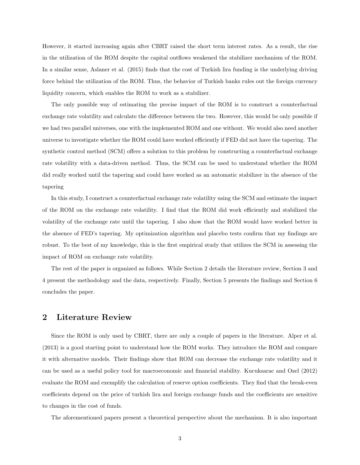However, it started increasing again after CBRT raised the short term interest rates. As a result, the rise in the utilization of the ROM despite the capital outflows weakened the stabilizer mechanism of the ROM. In a similar sense, Aslaner et al. (2015) finds that the cost of Turkish lira funding is the underlying driving force behind the utilization of the ROM. Thus, the behavior of Turkish banks rules out the foreign currency liquidity concern, which enables the ROM to work as a stabilizer.

The only possible way of estimating the precise impact of the ROM is to construct a counterfactual exchange rate volatility and calculate the difference between the two. However, this would be only possible if we had two parallel universes, one with the implemented ROM and one without. We would also need another universe to investigate whether the ROM could have worked efficiently if FED did not have the tapering. The synthetic control method (SCM) offers a solution to this problem by constructing a counterfactual exchange rate volatility with a data-driven method. Thus, the SCM can be used to understand whether the ROM did really worked until the tapering and could have worked as an automatic stabilizer in the absence of the tapering

In this study, I construct a counterfactual exchange rate volatility using the SCM and estimate the impact of the ROM on the exchange rate volatility. I find that the ROM did work efficiently and stabilized the volatility of the exchange rate until the tapering. I also show that the ROM would have worked better in the absence of FED's tapering. My optimization algorithm and placebo tests confirm that my findings are robust. To the best of my knowledge, this is the first empirical study that utilizes the SCM in assessing the impact of ROM on exchange rate volatility.

The rest of the paper is organized as follows. While Section 2 details the literature review, Section 3 and 4 present the methodology and the data, respectively. Finally, Section 5 presents the findings and Section 6 concludes the paper.

#### 2 Literature Review

Since the ROM is only used by CBRT, there are only a couple of papers in the literature. Alper et al. (2013) is a good starting point to understand how the ROM works. They introduce the ROM and compare it with alternative models. Their findings show that ROM can decrease the exchange rate volatility and it can be used as a useful policy tool for macroeconomic and financial stability. Kucuksarac and Ozel (2012) evaluate the ROM and exemplify the calculation of reserve option coefficients. They find that the break-even coefficients depend on the price of turkish lira and foreign exchange funds and the coefficients are sensitive to changes in the cost of funds.

The aforementioned papers present a theoretical perspective about the mechanism. It is also important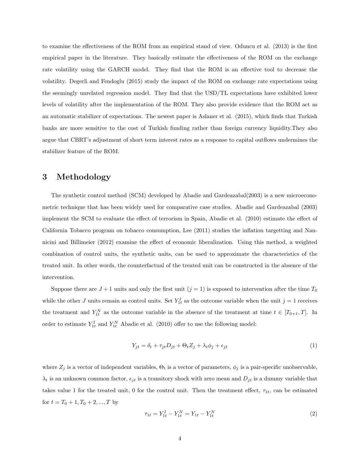to examine the effectiveness of the ROM from an empirical stand of view. Oduncu et al. (2013) is the first empirical paper in the literature. They basically estimate the effectiveness of the ROM on the exchange rate volatility using the GARCH model. They find that the ROM is an effective tool to decrease the volatility. Degerli and Fendoglu (2015) study the impact of the ROM on exchange rate expectations using the seemingly unrelated regression model. They find that the USD/TL expectations have exhibited lower levels of volatility after the implementation of the ROM. They also provide evidence that the ROM act as an automatic stabilizer of expectations. The newest paper is Aslaner et al. (2015), which finds that Turkish banks are more sensitive to the cost of Turkish funding rather than foreign currency liquidity.They also argue that CBRT's adjustment of short term interest rates as a response to capital outflows undermines the stabilizer feature of the ROM.

## 3 Methodology

The synthetic control method (SCM) developed by Abadie and Gardeazabal(2003) is a new microeconometric technique that has been widely used for comparative case studies. Abadie and Gardeazabal (2003) implement the SCM to evaluate the effect of terrorism in Spain, Abadie et al. (2010) estimate the effect of California Tobacco program on tobacco consumption, Lee (2011) studies the inflation targetting and Nannicini and Billimeier (2012) examine the effect of economic liberalization. Using this method, a weighted combination of control units, the synthetic units, can be used to approximate the characteristics of the treated unit. In other words, the counterfactual of the treated unit can be constructed in the absence of the intervention.

Suppose there are  $J + 1$  units and only the first unit  $(j = 1)$  is exposed to intervention after the time  $T_0$ while the other J units remain as control units. Set  $Y_{1t}^I$  as the outcome variable when the unit  $j = 1$  receives the treatment and  $Y_{1t}^{N}$  as the outcome variable in the absence of the treatment at time  $t \in [T_{0+1}, T]$ . In order to estimate  $Y_{1t}^{I}$  and  $Y_{1t}^{N}$  Abadie et al. (2010) offer to use the following model:

$$
Y_{jt} = \delta_t + \tau_{jt} D_{jt} + \Theta_t Z_j + \lambda_t \phi_j + \epsilon_{jt} \tag{1}
$$

where  $Z_j$  is a vector of independent variables,  $\Theta_t$  is a vector of parameters,  $\phi_j$  is a pair-specific unobservable,  $\lambda_t$  is an unknown common factor,  $\epsilon_{jt}$  is a transitory shock with zero mean and  $D_{jt}$  is a dummy variable that takes value 1 for the treated unit, 0 for the control unit. Then the treatment effect,  $\tau_{1t}$ , can be estimated for  $t = T_0 + 1, T_0 + 2, ..., T$  by

$$
\tau_{1t} = Y_{1t}^I - Y_{1t}^N = Y_{1t} - Y_{1t}^N \tag{2}
$$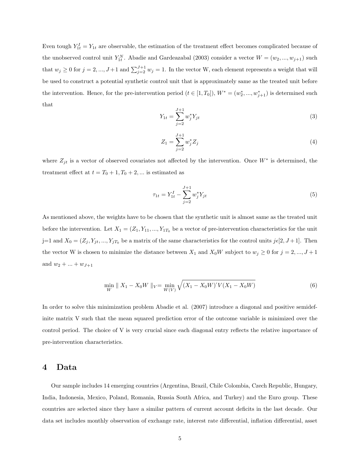Even tough  $Y_{1t}^I = Y_{1t}$  are observable, the estimation of the treatment effect becomes complicated because of the unobserved control unit  $Y_{1t}^N$ . Abadie and Gardeazabal (2003) consider a vector  $W = (w_2, ..., w_{j+1})$  such that  $w_j \ge 0$  for  $j = 2, ..., J+1$  and  $\sum_{j=2}^{J+1} w_j = 1$ . In the vector W, each element represents a weight that will be used to construct a potential synthetic control unit that is approximately same as the treated unit before the intervention. Hence, for the pre-intervention period  $(t \in [1, T_0])$ ,  $W^* = (w_2^*, ..., w_{j+1}^*)$  is determined such that

$$
Y_{1t} = \sum_{j=2}^{J+1} w_j^* Y_{jt} \tag{3}
$$

$$
Z_1 = \sum_{j=2}^{J+1} w_j^* Z_j \tag{4}
$$

where  $Z_{jt}$  is a vector of observed covariates not affected by the intervention. Once  $W^*$  is determined, the treatment effect at  $t = T_0 + 1, T_0 + 2, \dots$  is estimated as

$$
\tau_{1t} = Y_{1t}^I - \sum_{j=2}^{J+1} w_j^* Y_{jt} \tag{5}
$$

As mentioned above, the weights have to be chosen that the synthetic unit is almost same as the treated unit before the intervention. Let  $X_1 = (Z_1, Y_{11}, ..., Y_{1T_0})$  be a vector of pre-intervention characteristics for the unit j=1 and  $X_0 = (Z_j, Y_{jt}, ..., Y_{jT_0})$  be a matrix of the same characteristics for the control units  $j\epsilon[2, J+1]$ . Then the vector W is chosen to minimize the distance between  $X_1$  and  $X_0W$  subject to  $w_j \ge 0$  for  $j = 2, ..., J + 1$ and  $w_2 + ... + w_{J+1}$ 

$$
\min_{W} \| X_1 - X_0 W \|_{V} = \min_{W(V)} \sqrt{(X_1 - X_0 W)' V (X_1 - X_0 W)} \tag{6}
$$

In order to solve this minimization problem Abadie et al. (2007) introduce a diagonal and positive semidefinite matrix V such that the mean squared prediction error of the outcome variable is minimized over the control period. The choice of V is very crucial since each diagonal entry reflects the relative importance of pre-intervention characteristics.

#### 4 Data

Our sample includes 14 emerging countries (Argentina, Brazil, Chile Colombia, Czech Republic, Hungary, India, Indonesia, Mexico, Poland, Romania, Russia South Africa, and Turkey) and the Euro group. These countries are selected since they have a similar pattern of current account deficits in the last decade. Our data set includes monthly observation of exchange rate, interest rate differential, inflation differential, asset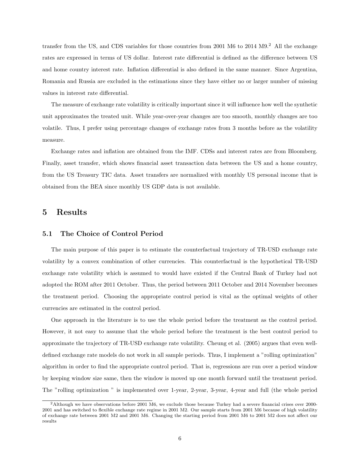transfer from the US, and CDS variables for those countries from 2001 M6 to  $2014 \text{ M}9.2$  All the exchange rates are expressed in terms of US dollar. Interest rate differential is defined as the difference between US and home country interest rate. Inflation differential is also defined in the same manner. Since Argentina, Romania and Russia are excluded in the estimations since they have either no or larger number of missing values in interest rate differential.

The measure of exchange rate volatility is critically important since it will influence how well the synthetic unit approximates the treated unit. While year-over-year changes are too smooth, monthly changes are too volatile. Thus, I prefer using percentage changes of exchange rates from 3 months before as the volatility measure.

Exchange rates and inflation are obtained from the IMF. CDSs and interest rates are from Bloomberg. Finally, asset transfer, which shows financial asset transaction data between the US and a home country, from the US Treasury TIC data. Asset transfers are normalized with monthly US personal income that is obtained from the BEA since monthly US GDP data is not available.

## 5 Results

#### 5.1 The Choice of Control Period

The main purpose of this paper is to estimate the counterfactual trajectory of TR-USD exchange rate volatility by a convex combination of other currencies. This counterfactual is the hypothetical TR-USD exchange rate volatility which is assumed to would have existed if the Central Bank of Turkey had not adopted the ROM after 2011 October. Thus, the period between 2011 October and 2014 November becomes the treatment period. Choosing the appropriate control period is vital as the optimal weights of other currencies are estimated in the control period.

One approach in the literature is to use the whole period before the treatment as the control period. However, it not easy to assume that the whole period before the treatment is the best control period to approximate the trajectory of TR-USD exchange rate volatility. Cheung et al. (2005) argues that even welldefined exchange rate models do not work in all sample periods. Thus, I implement a "rolling optimization" algorithm in order to find the appropriate control period. That is, regressions are run over a period window by keeping window size same, then the window is moved up one month forward until the treatment period. The "rolling optimization " is implemented over 1-year, 2-year, 3-year, 4-year and full (the whole period

<sup>2</sup>Although we have observations before 2001 M6, we exclude those because Turkey had a severe financial crises over 2000- 2001 and has switched to flexible exchange rate regime in 2001 M2. Our sample starts from 2001 M6 because of high volatility of exchange rate between 2001 M2 and 2001 M6. Changing the starting period from 2001 M6 to 2001 M2 does not affect our results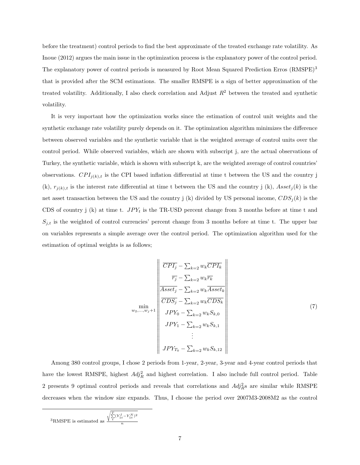before the treatment) control periods to find the best approximate of the treated exchange rate volatility. As Inoue (2012) argues the main issue in the optimization process is the explanatory power of the control period. The explanatory power of control periods is measured by Root Mean Squared Prediction Erros (RMSPE)<sup>3</sup> that is provided after the SCM estimations. The smaller RMSPE is a sign of better approximation of the treated volatility. Additionally, I also check correlation and Adjust  $R<sup>2</sup>$  between the treated and synthetic volatility.

It is very important how the optimization works since the estimation of control unit weights and the synthetic exchange rate volatility purely depends on it. The optimization algorithm minimizes the difference between observed variables and the synthetic variable that is the weighted average of control units over the control period. While observed variables, which are shown with subscript j, are the actual observations of Turkey, the synthetic variable, which is shown with subscript k, are the weighted average of control countries' observations.  $CPI_{j(k),t}$  is the CPI based inflation differential at time t between the US and the country j (k),  $r_{j(k),t}$  is the interest rate differential at time t between the US and the country j (k),  $Asset_j(k)$  is the net asset transaction between the US and the country j (k) divided by US personal income,  $CDS_i(k)$  is the CDS of country j (k) at time t.  $JPY_t$  is the TR-USD percent change from 3 months before at time t and  $S_{j,t}$  is the weighted of control currencies' percent change from 3 months before at time t. The upper bar on variables represents a simple average over the control period. The optimization algorithm used for the estimation of optimal weights is as follows;

$$
\begin{array}{c}\n\overline{CPI_j} - \sum_{k=2} w_k \overline{CPI_k} \\
\hline\n\overline{r_j} - \sum_{k=2} w_k \overline{r_k} \\
\hline\n\overline{Asset_j} - \sum_{k=2} w_k \overline{Asset_k} \\
\hline\n\overline{CDS_j} - \sum_{k=2} w_k \overline{CDS_k} \\
\overline{CDS_j} - \sum_{k=2} w_k \overline{CDS_k} \\
\overline{JPY_0} - \sum_{k=2} w_k S_{k,0} \\
\overline{JPY_1} - \sum_{k=2} w_k S_{k,1} \\
\vdots \\
\overline{JPY_{T_0}} - \sum_{k=2} w_k S_{k,12}\n\end{array}
$$
\n(7)

Among 380 control groups, I chose 2 periods from 1-year, 2-year, 3-year and 4-year control periods that have the lowest RMSPE, highest  $Adj_R^2$  and highest correlation. I also include full control period. Table 2 presents 9 optimal control periods and reveals that correlations and  $Ad\hat{j}_R^2$ s are similar while RMSPE decreases when the window size expands. Thus, I choose the period over 2007M3-2008M2 as the control

$$
{}^{3}\text{RMSPE}
$$
 is estimated as  $\frac{\sqrt{\sum\limits_{t}^{T}(Y_{1t}^{I}-Y_{1t}^{N})^{2}}}{n}$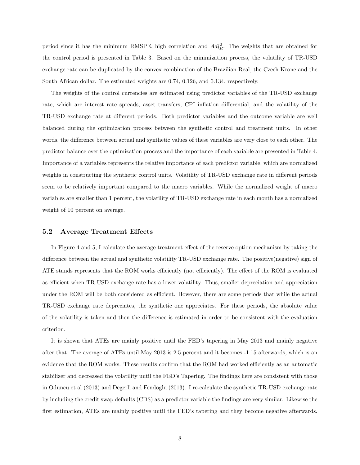period since it has the minimum RMSPE, high correlation and  $Adj_R^2$ . The weights that are obtained for the control period is presented in Table 3. Based on the minimization process, the volatility of TR-USD exchange rate can be duplicated by the convex combination of the Brazilian Real, the Czech Krone and the South African dollar. The estimated weights are 0.74, 0.126, and 0.134, respectively.

The weights of the control currencies are estimated using predictor variables of the TR-USD exchange rate, which are interest rate spreads, asset transfers, CPI inflation differential, and the volatility of the TR-USD exchange rate at different periods. Both predictor variables and the outcome variable are well balanced during the optimization process between the synthetic control and treatment units. In other words, the difference between actual and synthetic values of these variables are very close to each other. The predictor balance over the optimization process and the importance of each variable are presented in Table 4. Importance of a variables represents the relative importance of each predictor variable, which are normalized weights in constructing the synthetic control units. Volatility of TR-USD exchange rate in different periods seem to be relatively important compared to the macro variables. While the normalized weight of macro variables are smaller than 1 percent, the volatility of TR-USD exchange rate in each month has a normalized weight of 10 percent on average.

#### 5.2 Average Treatment Effects

In Figure 4 and 5, I calculate the average treatment effect of the reserve option mechanism by taking the difference between the actual and synthetic volatility TR-USD exchange rate. The positive(negative) sign of ATE stands represents that the ROM works efficiently (not efficiently). The effect of the ROM is evaluated as efficient when TR-USD exchange rate has a lower volatility. Thus, smaller depreciation and appreciation under the ROM will be both considered as efficient. However, there are some periods that while the actual TR-USD exchange rate depreciates, the synthetic one appreciates. For these periods, the absolute value of the volatility is taken and then the difference is estimated in order to be consistent with the evaluation criterion.

It is shown that ATEs are mainly positive until the FED's tapering in May 2013 and mainly negative after that. The average of ATEs until May 2013 is 2.5 percent and it becomes -1.15 afterwards, which is an evidence that the ROM works. These results confirm that the ROM had worked efficiently as an automatic stabilizer and decreased the volatility until the FED's Tapering. The findings here are consistent with those in Oduncu et al (2013) and Degerli and Fendoglu (2013). I re-calculate the synthetic TR-USD exchange rate by including the credit swap defaults (CDS) as a predictor variable the findings are very similar. Likewise the first estimation, ATEs are mainly positive until the FED's tapering and they become negative afterwards.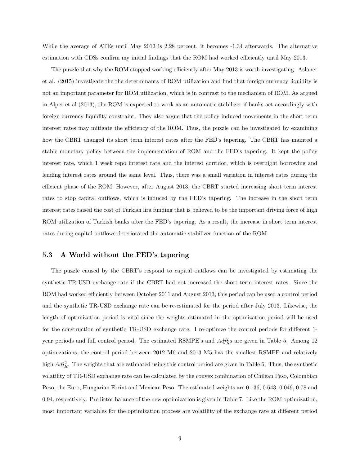While the average of ATEs until May 2013 is 2.28 percent, it becomes -1.34 afterwards. The alternative estimation with CDSs confirm my initial findings that the ROM had worked efficiently until May 2013.

The puzzle that why the ROM stopped working efficiently after May 2013 is worth investigating. Aslaner et al. (2015) investigate the the determinants of ROM utilization and find that foreign currency liquidity is not an important parameter for ROM utilization, which is in contrast to the mechanism of ROM. As argued in Alper et al (2013), the ROM is expected to work as an automatic stabilizer if banks act accordingly with foreign currency liquidity constraint. They also argue that the policy induced movements in the short term interest rates may mitigate the efficiency of the ROM. Thus, the puzzle can be investigated by examining how the CBRT changed its short term interest rates after the FED's tapering. The CBRT has mainted a stable monetary policy between the implementation of ROM and the FED's tapering. It kept the policy interest rate, which 1 week repo interest rate and the interest corridor, which is overnight borrowing and lending interest rates around the same level. Thus, there was a small variation in interest rates during the efficient phase of the ROM. However, after August 2013, the CBRT started increasing short term interest rates to stop capital outflows, which is induced by the FED's tapering. The increase in the short term interest rates raised the cost of Turkish lira funding that is believed to be the important driving force of high ROM utilization of Turkish banks after the FED's tapering. As a result, the increase in short term interest rates during capital outflows deteriorated the automatic stabilizer function of the ROM.

#### 5.3 A World without the FED's tapering

The puzzle caused by the CBRT's respond to capital outflows can be investigated by estimating the synthetic TR-USD exchange rate if the CBRT had not increased the short term interest rates. Since the ROM had worked efficiently between October 2011 and August 2013, this period can be used a control period and the synthetic TR-USD exchange rate can be re-estimated for the period after July 2013. Likewise, the length of optimization period is vital since the weights estimated in the optimization period will be used for the construction of synthetic TR-USD exchange rate. I re-optimze the control periods for different 1 year periods and full control period. The estimated RSMPE's and  $Adj<sub>R</sub><sup>2</sup>$ s are given in Table 5. Among 12 optimizations, the control period between 2012 M6 and 2013 M5 has the smallest RSMPE and relatively high  $Adj_R^2$ . The weights that are estimated using this control period are given in Table 6. Thus, the synthetic volatility of TR-USD exchange rate can be calculated by the convex combination of Chilean Peso, Colombian Peso, the Euro, Hungarian Forint and Mexican Peso. The estimated weights are 0.136, 0.643, 0.049, 0.78 and 0.94, respectively. Predictor balance of the new optimization is given in Table 7. Like the ROM optimization, most important variables for the optimization process are volatility of the exchange rate at different period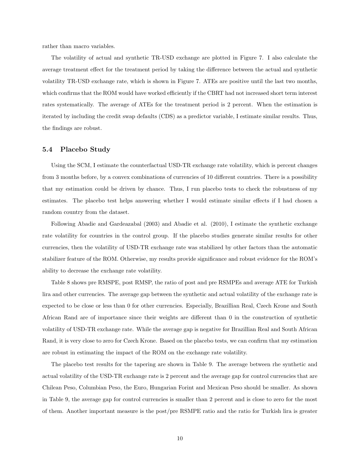rather than macro variables.

The volatility of actual and synthetic TR-USD exchange are plotted in Figure 7. I also calculate the average treatment effect for the treatment period by taking the difference between the actual and synthetic volatility TR-USD exchange rate, which is shown in Figure 7. ATEs are positive until the last two months, which confirms that the ROM would have worked efficiently if the CBRT had not increased short term interest rates systematically. The average of ATEs for the treatment period is 2 percent. When the estimation is iterated by including the credit swap defaults (CDS) as a predictor variable, I estimate similar results. Thus, the findings are robust.

#### 5.4 Placebo Study

Using the SCM, I estimate the counterfactual USD-TR exchange rate volatility, which is percent changes from 3 months before, by a convex combinations of currencies of 10 different countries. There is a possibility that my estimation could be driven by chance. Thus, I run placebo tests to check the robustness of my estimates. The placebo test helps answering whether I would estimate similar effects if I had chosen a random country from the dataset.

Following Abadie and Gardeazabal (2003) and Abadie et al. (2010), I estimate the synthetic exchange rate volatility for countries in the control group. If the placebo studies generate similar results for other currencies, then the volatility of USD-TR exchange rate was stabilized by other factors than the automatic stabilizer feature of the ROM. Otherwise, my results provide significance and robust evidence for the ROM's ability to decrease the exchange rate volatility.

Table 8 shows pre RMSPE, post RMSP, the ratio of post and pre RSMPEs and average ATE for Turkish lira and other currencies. The average gap between the synthetic and actual volatility of the exchange rate is expected to be close or less than 0 for other currencies. Especially, Brazillian Real, Czech Krone and South African Rand are of importance since their weights are different than 0 in the construction of synthetic volatility of USD-TR exchange rate. While the average gap is negative for Brazillian Real and South African Rand, it is very close to zero for Czech Krone. Based on the placebo tests, we can confirm that my estimation are robust in estimating the impact of the ROM on the exchange rate volatility.

The placebo test results for the tapering are shown in Table 9. The average between rhe synthetic and actual volatility of the USD-TR exchange rate is 2 percent and the average gap for control currencies that are Chilean Peso, Columbian Peso, the Euro, Hungarian Forint and Mexican Peso should be smaller. As shown in Table 9, the average gap for control currencies is smaller than 2 percent and is close to zero for the most of them. Another important measure is the post/pre RSMPE ratio and the ratio for Turkish lira is greater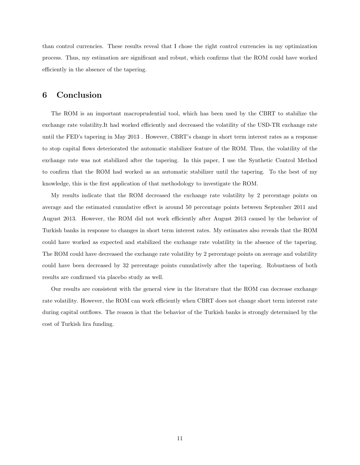than control currencies. These results reveal that I chose the right control currencies in my optimization process. Thus, my estimation are significant and robust, which confirms that the ROM could have worked efficiently in the absence of the tapering.

## 6 Conclusion

The ROM is an important macroprudential tool, which has been used by the CBRT to stabilize the exchange rate volatility.It had worked efficiently and decreased the volatility of the USD-TR exchange rate until the FED's tapering in May 2013 . However, CBRT's change in short term interest rates as a response to stop capital flows deteriorated the automatic stabilizer feature of the ROM. Thus, the volatility of the exchange rate was not stabilized after the tapering. In this paper, I use the Synthetic Control Method to confirm that the ROM had worked as an automatic stabilizer until the tapering. To the best of my knowledge, this is the first application of that methodology to investigate the ROM.

My results indicate that the ROM decreased the exchange rate volatility by 2 percentage points on average and the estimated cumulative effect is around 50 percentage points between September 2011 and August 2013. However, the ROM did not work efficiently after August 2013 caused by the behavior of Turkish banks in response to changes in short term interest rates. My estimates also reveals that the ROM could have worked as expected and stabilized the exchange rate volatility in the absence of the tapering. The ROM could have decreased the exchange rate volatility by 2 percentage points on average and volatility could have been decreased by 32 percentage points cumulatively after the tapering. Robustness of both results are confirmed via placebo study as well.

Our results are consistent with the general view in the literature that the ROM can decrease exchange rate volatility. However, the ROM can work efficiently when CBRT does not change short term interest rate during capital outflows. The reason is that the behavior of the Turkish banks is strongly determined by the cost of Turkish lira funding.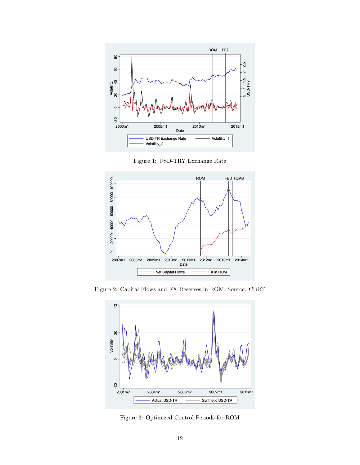

Figure 1: USD-TRY Exchange Rate



Figure 2: Capital Flows and FX Reserves in ROM. Source: CBRT



Figure 3: Optimized Control Periods for ROM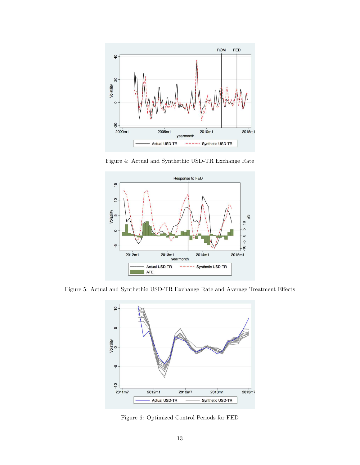

Figure 4: Actual and Synthethic USD-TR Exchange Rate



Figure 5: Actual and Synthethic USD-TR Exchange Rate and Average Treatment Effects



Figure 6: Optimized Control Periods for FED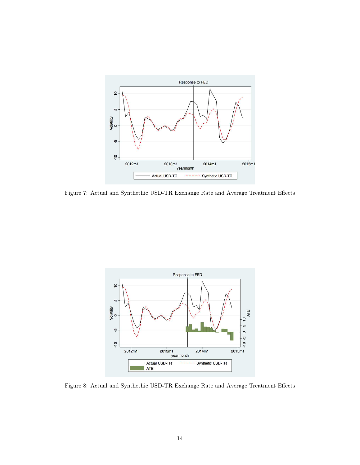

Figure 7: Actual and Synthethic USD-TR Exchange Rate and Average Treatment Effects



Figure 8: Actual and Synthethic USD-TR Exchange Rate and Average Treatment Effects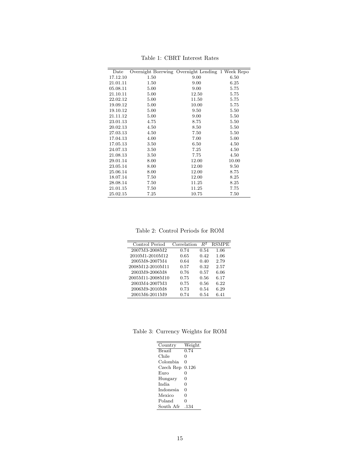| Date     | Overnight Borrwing Overnight Lending 1 Week Repo |       |       |
|----------|--------------------------------------------------|-------|-------|
| 17.12.10 | 1.50                                             | 9.00  | 6.50  |
| 21.01.11 | 1.50                                             | 9.00  | 6.25  |
| 05.08.11 | 5.00                                             | 9.00  | 5.75  |
| 21.10.11 | 5.00                                             | 12.50 | 5.75  |
| 22.02.12 | 5.00                                             | 11.50 | 5.75  |
| 19.09.12 | 5.00                                             | 10.00 | 5.75  |
| 19.10.12 | 5.00                                             | 9.50  | 5.50  |
| 21.11.12 | 5.00                                             | 9.00  | 5.50  |
| 23.01.13 | 4.75                                             | 8.75  | 5.50  |
| 20.02.13 | 4.50                                             | 8.50  | 5.50  |
| 27.03.13 | 4.50                                             | 7.50  | 5.50  |
| 17.04.13 | 4.00                                             | 7.00  | 5.00  |
| 17.05.13 | 3.50                                             | 6.50  | 4.50  |
| 24.07.13 | 3.50                                             | 7.25  | 4.50  |
| 21.08.13 | 3.50                                             | 7.75  | 4.50  |
| 29.01.14 | 8.00                                             | 12.00 | 10.00 |
| 23.05.14 | 8.00                                             | 12.00 | 9.50  |
| 25.06.14 | 8.00                                             | 12.00 | 8.75  |
| 18.07.14 | 7.50                                             | 12.00 | 8.25  |
| 28.08.14 | 7.50                                             | 11.25 | 8.25  |
| 21.01.15 | 7.50                                             | 11.25 | 7.75  |
| 25.02.15 | 7.25                                             | 10.75 | 7.50  |

Table 1: CBRT Interest Rates

Table 2: Control Periods for ROM

| Control Period  | Correlation | $R^2$ | <b>RSMPE</b> |
|-----------------|-------------|-------|--------------|
| 2007M3-2008M2   | 0.74        | 0.54  | 1.06         |
| 2010M1-2010M12  | 0.65        | 0.42  | 1.06         |
| 2005M8-2007M4   | 0.64        | 0.40  | 2.79         |
| 2008M12-2010M11 | 0.57        | 0.32  | 2.57         |
| 2003M9-2006M8   | 0.76        | 0.57  | 6.06         |
| 2005M11-2008M10 | 0.75        | 0.56  | 6.17         |
| 2003M4-2007M3   | 0.75        | 0.56  | 6.22         |
| 2006M9-2010M8   | 0.73        | 0.54  | 6.29         |
| 2001M6-2011M9   | 0.74        | 0.54  | 6.41         |
|                 |             |       |              |

Table 3: Currency Weights for ROM

| Country          | Weight |
|------------------|--------|
| <b>Brazil</b>    | 0.74   |
| Chile            | 0      |
| Colombia         | 0      |
| Czech Rep        | 0.126  |
| Euro             | 0      |
| Hungary          | 0      |
| <b>India</b>     | 0      |
| <i>Indonesia</i> | 0      |
| Mexico           | 0      |
| Poland           | 0      |
| South Afr        | .134   |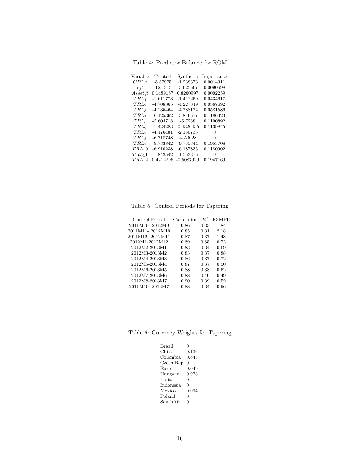Table 4: Predictor Balance for ROM

| Variable                | Treated     | Synthetic    | Importance |
|-------------------------|-------------|--------------|------------|
|                         |             |              |            |
| $CPI_i t$               | $-5.37875$  | -1.238373    | 0.0014311  |
| $r_i t$                 | -12.1515    | -5.625667    | 0.0090698  |
| $A$ sset <sub>j</sub> t | 0.1489167   | 0.8200997    | 0.0002259  |
| $TRL_1$                 | -1.611773   | $-1.412259$  | 0.0434617  |
| TRL <sub>2</sub>        | -4.708365   | -4.227849    | 0.0367692  |
| $TRL_3$                 | -4.235464   | -4.788174    | 0.0581586  |
| $TRL_4$                 | $-6.125362$ | $-5.846677$  | 0.1186323  |
| $TRL_5$                 | $-5.604718$ | $-5.7288$    | 0.1100892  |
| $TRL_6$                 | -1.424283   | $-0.4320435$ | 0.1139845  |
| $TRL_7$                 | $-4.476481$ | $-2.150733$  | 0          |
| TRL                     | $-6.718748$ | $-4.50028$   | 0          |
| $TRL_9$                 | $-9.733842$ | $-9.755344$  | 0.1953708  |
| $TRL_10$                | $-6.910238$ | -6.187835    | 0.1180902  |
| $TRL_11$                | -1.842542   | $-1.563376$  | 0          |
| $TRL_12$                | 0.4212296   | $-0.5087929$ | 0.1947169  |
|                         |             |              |            |

Table 5: Control Periods for Tapering

| Control Period  | Correlation | $R^2$ | <b>RSMPE</b> |
|-----------------|-------------|-------|--------------|
| 2011M10-2012M9  | 0.86        | 0.33  | 1.84         |
| 2011M11-2012M10 | 0.85        | 0.31  | 2.18         |
| 2011M12-2012M11 | 0.87        | 0.37  | 1.43         |
| 2012M1-2012M12  | 0.89        | 0.35  | 0.72         |
| 2012M2-2013M1   | 0.83        | 0.34  | 0.69         |
| 2012M3-2013M2   | 0.83        | 0.37  | 0.88         |
| 2012M4-2013M3   | 0.86        | 0.37  | 0.72         |
| 2012M5-2013M4   | 0.87        | 0.37  | 0.50         |
| 2012M6-2013M5   | 0.88        | 0.38  | 0.52         |
| 2012M7-2013M6   | 0.88        | 0.40  | 0.49         |
| 2012M8-2013M7   | 0.90        | 0.39  | 0.52         |
| 2011M10-2013M7  | 0.88        | 0.34  | 0.96         |
|                 |             |       |              |

Table 6: Currency Weights for Tapering

| <b>Brazil</b> | 0           |
|---------------|-------------|
| Chile         | $\rm 0.136$ |
| Colombia      | 0.643       |
| Czech Rep     | 0           |
| Euro          | 0.049       |
| Hungary       | 0.078       |
| India         | 0           |
| Indonesia     | 0           |
| Mexico        | 0.094       |
| Poland        | 0           |
| SouthAfr      | O           |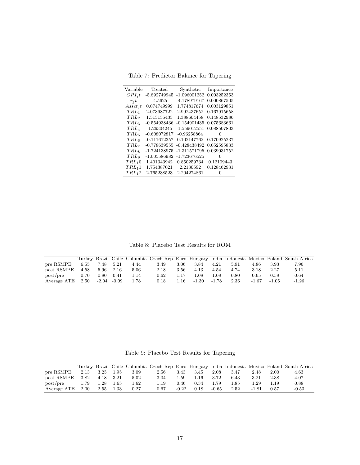Table 7: Predictor Balance for Tapering

| Variable                  | Treated        | Synthetic      | Importance        |
|---------------------------|----------------|----------------|-------------------|
| $CPI_i t$                 | $-5.892749945$ | $-1.096001252$ | 0.003252353       |
| $r_i t$                   | -4.5625        | -4.178979167   | 0.000867505       |
| $\,A$ sset <sub>i</sub> t | 0.074749999    | 1.774817674    | 0.003129851       |
| $TRL_1$                   | 2.073987722    | 2.992437652    | 0.167915658       |
| TRL <sub>2</sub>          | 1.515155435    | 1.388604458    | 0.148532986       |
| $TRL_3$                   | -0.554938436   | -0.154901435   | 0.075683661       |
| $TRL_4$                   | $-1.26304245$  | $-1.559012551$ | 0.088507803       |
| $TRL_5$                   | $-0.608072817$ | $-0.96258864$  | 0                 |
| $TRL_6$                   | $-0.111612357$ | 0.102147762    | 0.170925237       |
| $TRL_7$                   | $-0.778639555$ | -0.428438492   | 0.052595833       |
| $TRL_8$                   | $-1.724138975$ | $-1.311571795$ | 0.039031752       |
| $TRL_9$                   | $-1.005586982$ | -1.723676525   | $\mathbf{\Omega}$ |
| $TRL_10$                  | 1.401343942    | 0.850259734    | 0.12109443        |
| $TRL_11$                  | 1.754387021    | 2.2130692      | 0.128462931       |
| $TRL_12$                  | 2.765238523    | 2.204274861    | 0                 |
|                           |                |                |                   |

Table 8: Placebo Test Results for ROM

|             |      |       |         |      |      |      |       |         |      |         |         | Turkey Brazil Chile Columbia Czech Rep Euro Hungary India Indonesia Mexico Poland South Africa |
|-------------|------|-------|---------|------|------|------|-------|---------|------|---------|---------|------------------------------------------------------------------------------------------------|
| pre RSMPE   | 6.55 | 7.48  | 5.21    | 4.44 | 3.49 | 3.06 | 3.84  | 4.21    | 5.91 | 4.86    | 3.93    | 7.96                                                                                           |
| post RSMPE  | 4.58 | 5.96  | 2.16    | 5.06 | 2.18 | 3.56 | 4.13  | 4.54    | 4.74 | 3.18    | 2.27    | 5.11                                                                                           |
| post/pre    | 0.70 | 0.80  | 0.41    | 1.14 | 0.62 | 1.17 | .08   | 1.08    | 0.80 | 0.65    | 0.58    | 0.64                                                                                           |
| Average ATE | 2.50 | -2.04 | $-0.09$ | 1.78 | 0.18 | 1.16 | -1.30 | $-1.78$ | 2.36 | $-1.67$ | $-1.05$ | $-1.26$                                                                                        |

Table 9: Placebo Test Results for Tapering

|             |      |           |      |      |      |         |      |         |      |         |      | Turkey Brazil Chile Columbia Czech Rep Euro Hungary India Indonesia Mexico Poland South Africa |
|-------------|------|-----------|------|------|------|---------|------|---------|------|---------|------|------------------------------------------------------------------------------------------------|
| pre RSMPE   | 2.13 | 3.25      | 1.95 | 3.09 | 2.56 | 3.43    | 3.45 | 2.08    | 3.47 | 2.48    | 2.00 | 4.63                                                                                           |
| post RSMPE  | 3.82 | 4.18 3.21 |      | 5.02 | 3.04 | 1.59    | 1.16 | 3.72    | 6.43 | 3.21    | 2.38 | 4.07                                                                                           |
| post/pre    | 1.79 | 1.28      | 1.65 | 1.62 | 1.19 | 0.46    | 0.34 | 1.79    | 1.85 | 1.29    | 1.19 | 0.88                                                                                           |
| Average ATE | 2.00 | 2.55      | 1.33 | 0.27 | 0.67 | $-0.22$ | 0.18 | $-0.65$ | 2.52 | $-1.81$ | 0.57 | -0.53                                                                                          |